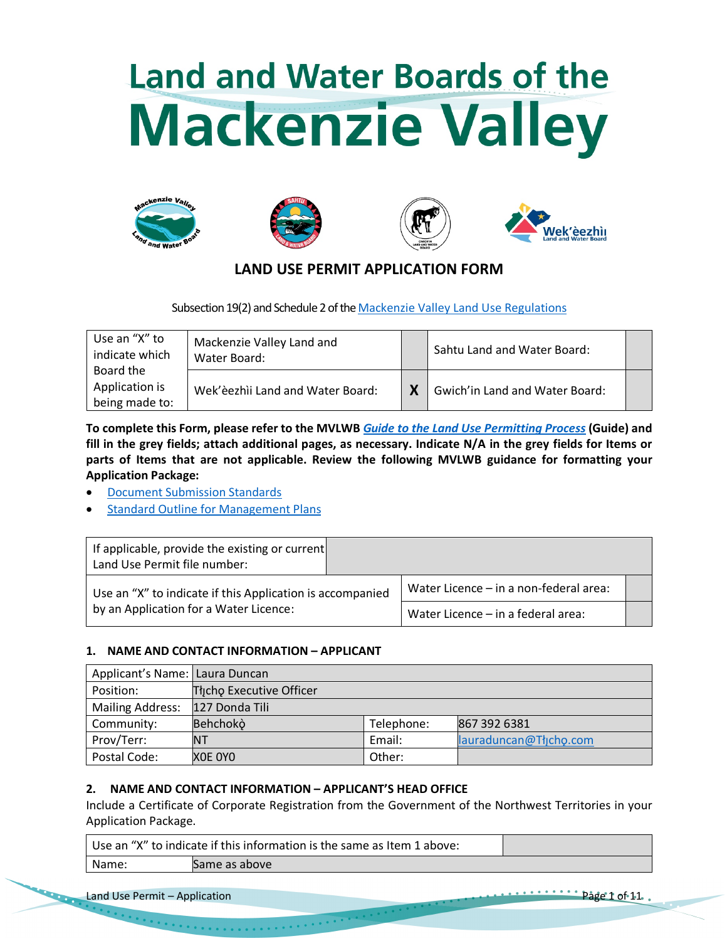# Land and Water Boards of the **Mackenzie Valley**









## **LAND USE PERMIT APPLICATION FORM**

Subsection 19(2) and Schedule 2 of the Mackenzie Valley Land Use Regulations

| Use an "X" to<br>indicate which               | Mackenzie Valley Land and<br>Water Board: | Sahtu Land and Water Board:    |  |
|-----------------------------------------------|-------------------------------------------|--------------------------------|--|
| Board the<br>Application is<br>being made to: | Wek'èezhìi Land and Water Board:          | Gwich'in Land and Water Board: |  |

**To complete this Form, please refer to the MVLWB** *Guide to the Land Use Permitting Process* **(Guide) and fill in the grey fields; attach additional pages, as necessary. Indicate N/A in the grey fields for Items or parts of Items that are not applicable. Review the following MVLWB guidance for formatting your Application Package:**

- Document Submission Standards
- **Standard Outline for Management Plans**

| If applicable, provide the existing or current<br>Land Use Permit file number: |                                        |                                    |  |
|--------------------------------------------------------------------------------|----------------------------------------|------------------------------------|--|
| Use an "X" to indicate if this Application is accompanied                      | Water Licence - in a non-federal area: |                                    |  |
| by an Application for a Water Licence:                                         |                                        | Water Licence - in a federal area: |  |

## **1. NAME AND CONTACT INFORMATION – APPLICANT**

| Applicant's Name: Laura Duncan |                          |            |                        |  |  |  |  |  |
|--------------------------------|--------------------------|------------|------------------------|--|--|--|--|--|
| Position:                      | Thicho Executive Officer |            |                        |  |  |  |  |  |
| <b>Mailing Address:</b>        | 127 Donda Tili           |            |                        |  |  |  |  |  |
| Community:                     | Behchokò                 | Telephone: | 867 392 6381           |  |  |  |  |  |
| Prov/Terr:                     | NΤ                       | Email:     | lauraduncan@Tłjcho.com |  |  |  |  |  |
| Postal Code:                   | XOE OYO                  | Other:     |                        |  |  |  |  |  |

## **2. NAME AND CONTACT INFORMATION – APPLICANT'S HEAD OFFICE**

Include a Certificate of Corporate Registration from the Government of the Northwest Territories in your Application Package.

|       | Use an "X" to indicate if this information is the same as Item 1 above: |  |
|-------|-------------------------------------------------------------------------|--|
| Name: | Same as above                                                           |  |

Land Use Permit – Application Page 1 of 11.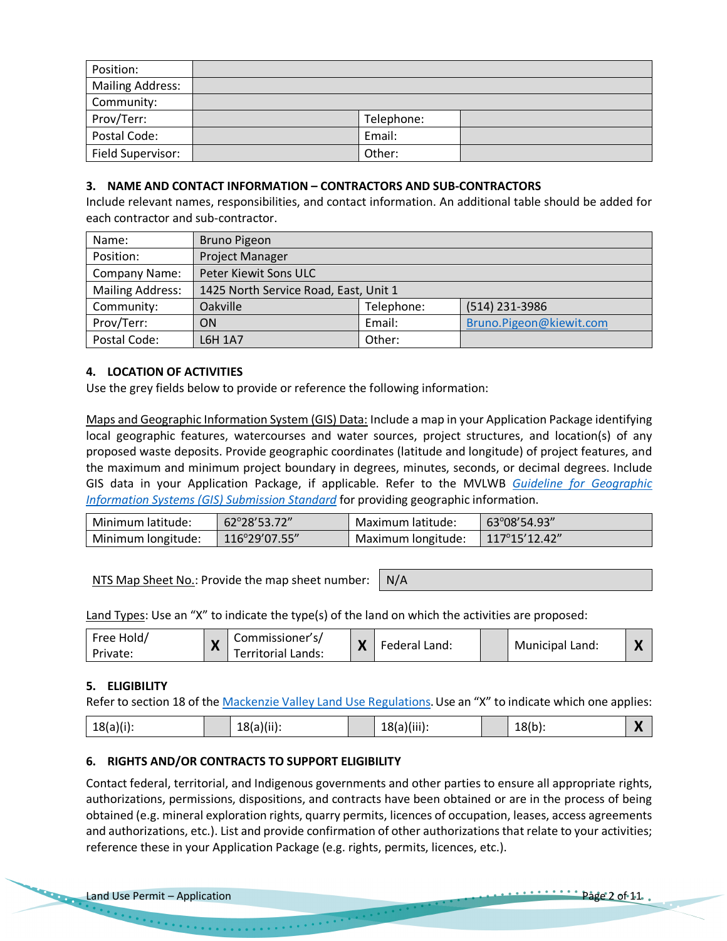| Position:               |            |  |
|-------------------------|------------|--|
| <b>Mailing Address:</b> |            |  |
| Community:              |            |  |
| Prov/Terr:              | Telephone: |  |
| Postal Code:            | Email:     |  |
| Field Supervisor:       | Other:     |  |

#### **3. NAME AND CONTACT INFORMATION – CONTRACTORS AND SUB-CONTRACTORS**

Include relevant names, responsibilities, and contact information. An additional table should be added for each contractor and sub-contractor.

| Name:                   | <b>Bruno Pigeon</b>                   |            |                         |  |  |  |  |
|-------------------------|---------------------------------------|------------|-------------------------|--|--|--|--|
| Position:               | <b>Project Manager</b>                |            |                         |  |  |  |  |
| Company Name:           | Peter Kiewit Sons ULC                 |            |                         |  |  |  |  |
| <b>Mailing Address:</b> | 1425 North Service Road, East, Unit 1 |            |                         |  |  |  |  |
| Community:              | Oakville                              | Telephone: | (514) 231-3986          |  |  |  |  |
| Prov/Terr:              | <b>ON</b>                             | Email:     | Bruno.Pigeon@kiewit.com |  |  |  |  |
| Postal Code:            | L6H 1A7                               | Other:     |                         |  |  |  |  |

## **4. LOCATION OF ACTIVITIES**

Use the grey fields below to provide or reference the following information:

Maps and Geographic Information System (GIS) Data: Include a map in your Application Package identifying local geographic features, watercourses and water sources, project structures, and location(s) of any proposed waste deposits. Provide geographic coordinates (latitude and longitude) of project features, and the maximum and minimum project boundary in degrees, minutes, seconds, or decimal degrees. Include GIS data in your Application Package, if applicable. Refer to the MVLWB *Guideline for Geographic Information Systems (GIS) Submission Standard* for providing geographic information.

| Minimum latitude:  | 62°28'53.72"            | Maximum latitude:  | $63^{\circ}08'54.93''$  |
|--------------------|-------------------------|--------------------|-------------------------|
| Minimum longitude: | $116^{\circ}29'07.55''$ | Maximum longitude: | $117^{\circ}15'12.42''$ |

NTS Map Sheet No.: Provide the map sheet number:  $\big| N/A \big|$ 

Land Types: Use an "X" to indicate the type(s) of the land on which the activities are proposed:

| commissioner s/<br>Free Hold/<br>Private:<br>Territorial Lands: | M<br>Л | Federal Land: |  | Municipal Land: | $\sim$ |
|-----------------------------------------------------------------|--------|---------------|--|-----------------|--------|
|-----------------------------------------------------------------|--------|---------------|--|-----------------|--------|

## **5. ELIGIBILITY**

Refer to section 18 of the *Mackenzie Valley Land Use Regulations*. Use an "X" to indicate which one applies:

| $18(b)$ :<br>18(a)(ii).<br>$18(a)(i)$ :<br>$18(a)(iii)$ :<br>$\sqrt{ }$<br>-- |
|-------------------------------------------------------------------------------|
|-------------------------------------------------------------------------------|

## **6. RIGHTS AND/OR CONTRACTS TO SUPPORT ELIGIBILITY**

Contact federal, territorial, and Indigenous governments and other parties to ensure all appropriate rights, authorizations, permissions, dispositions, and contracts have been obtained or are in the process of being obtained (e.g. mineral exploration rights, quarry permits, licences of occupation, leases, access agreements and authorizations, etc.). List and provide confirmation of other authorizations that relate to your activities; reference these in your Application Package (e.g. rights, permits, licences, etc.).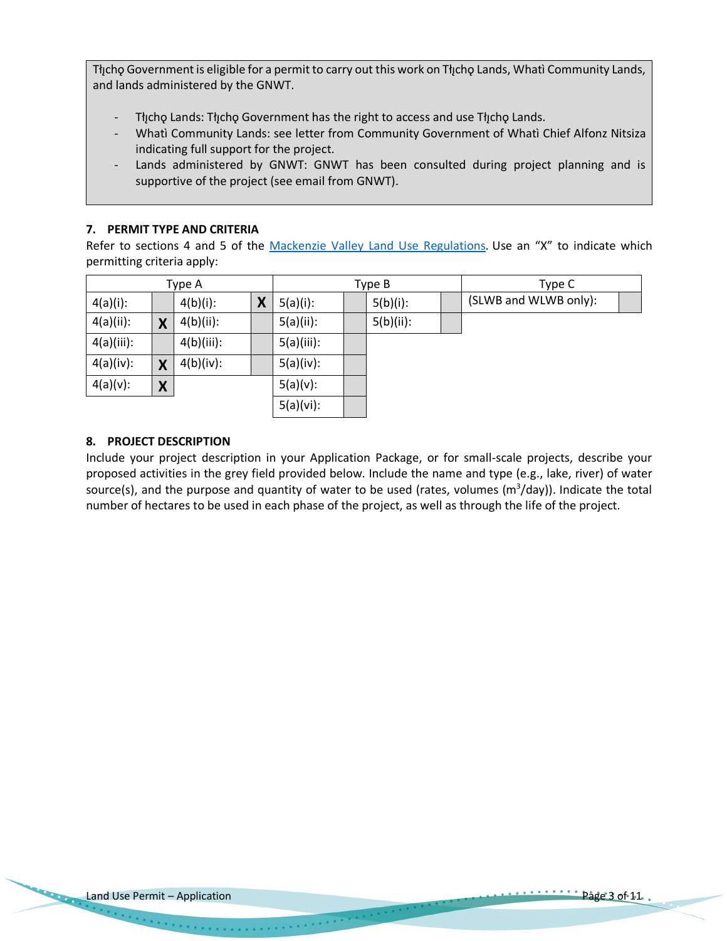Tłicho Government is eligible for a permit to carry out this work on Tłicho Lands, Whatì Community Lands, and lands administered by the GNWT.

- Tłıcho Lands: Tłıcho Government has the right to access and use Tłıcho Lands.
- Whatì Community Lands: see letter from Community Government of Whatì Chief Alfonz Nitsiza indicating full support for the project.
- Lands administered by GNWT: GNWT has been consulted during project planning and is supportive of the project (see email from GNWT).

## **7. PERMIT TYPE AND CRITERIA**

Refer to sections 4 and 5 of the Mackenzie Valley Land Use Regulations. Use an "X" to indicate which permitting criteria apply:

|              |   | Type A       |   | Type B       |  |              | Type C |                       |  |
|--------------|---|--------------|---|--------------|--|--------------|--------|-----------------------|--|
| $4(a)(i)$ :  |   | $4(b)(i)$ :  | X | $5(a)(i)$ :  |  | $5(b)(i)$ :  |        | (SLWB and WLWB only): |  |
| $4(a)(ii)$ : | X | $4(b)(ii)$ : |   | $5(a)(ii)$ : |  | $5(b)(ii)$ : |        |                       |  |
| 4(a)(iii):   |   | 4(b)(iii):   |   | 5(a)(iii):   |  |              |        |                       |  |
| 4(a)(iv):    | X | $4(b)(iv)$ : |   | 5(a)(iv):    |  |              |        |                       |  |
| $4(a)(v)$ :  | X |              |   | $5(a)(v)$ :  |  |              |        |                       |  |
|              |   |              |   | 5(a)(vi):    |  |              |        |                       |  |

## **8. PROJECT DESCRIPTION**

Include your project description in your Application Package, or for small-scale projects, describe your proposed activities in the grey field provided below. Include the name and type (e.g., lake, river) of water source(s), and the purpose and quantity of water to be used (rates, volumes  $(m^3/day)$ ). Indicate the total number of hectares to be used in each phase of the project, as well as through the life of the project.

 $\label{eq:3.1} \mathcal{F}^{(1)}(x) = \mathcal{F}^{(1)}(x) = \mathcal{F}^{(1)}(x) = \mathcal{F}^{(1)}(x) = \mathcal{F}^{(1)}(x) = \mathcal{F}^{(1)}(x) = \mathcal{F}^{(1)}(x) = \mathcal{F}^{(1)}(x) = \mathcal{F}^{(1)}(x) = \mathcal{F}^{(1)}(x) = \mathcal{F}^{(1)}(x) = \mathcal{F}^{(1)}(x) = \mathcal{F}^{(1)}(x) = \mathcal{F}^{(1)}(x) = \mathcal{F}^{(1)}(x) = \$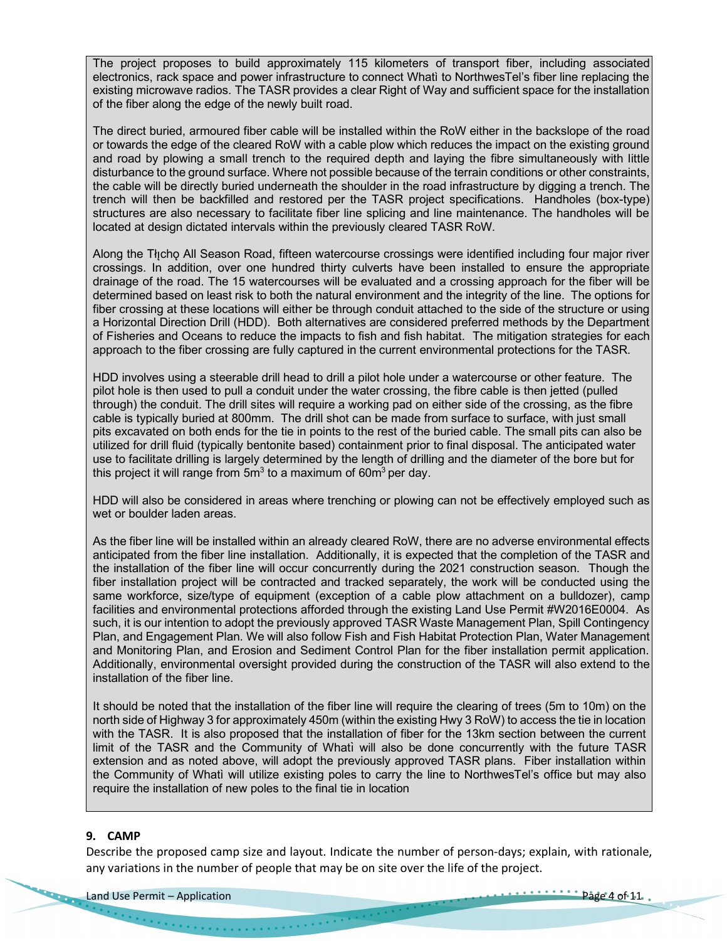The project proposes to build approximately 115 kilometers of transport fiber, including associated electronics, rack space and power infrastructure to connect Whatì to NorthwesTel's fiber line replacing the existing microwave radios. The TASR provides a clear Right of Way and sufficient space for the installation of the fiber along the edge of the newly built road.

The direct buried, armoured fiber cable will be installed within the RoW either in the backslope of the road or towards the edge of the cleared RoW with a cable plow which reduces the impact on the existing ground and road by plowing a small trench to the required depth and laying the fibre simultaneously with little disturbance to the ground surface. Where not possible because of the terrain conditions or other constraints, the cable will be directly buried underneath the shoulder in the road infrastructure by digging a trench. The trench will then be backfilled and restored per the TASR project specifications. Handholes (box-type) structures are also necessary to facilitate fiber line splicing and line maintenance. The handholes will be located at design dictated intervals within the previously cleared TASR RoW.

Along the Tłicho All Season Road, fifteen watercourse crossings were identified including four major river crossings. In addition, over one hundred thirty culverts have been installed to ensure the appropriate drainage of the road. The 15 watercourses will be evaluated and a crossing approach for the fiber will be determined based on least risk to both the natural environment and the integrity of the line. The options for fiber crossing at these locations will either be through conduit attached to the side of the structure or using a Horizontal Direction Drill (HDD). Both alternatives are considered preferred methods by the Department of Fisheries and Oceans to reduce the impacts to fish and fish habitat. The mitigation strategies for each approach to the fiber crossing are fully captured in the current environmental protections for the TASR.

HDD involves using a steerable drill head to drill a pilot hole under a watercourse or other feature. The pilot hole is then used to pull a conduit under the water crossing, the fibre cable is then jetted (pulled through) the conduit. The drill sites will require a working pad on either side of the crossing, as the fibre cable is typically buried at 800mm. The drill shot can be made from surface to surface, with just small pits excavated on both ends for the tie in points to the rest of the buried cable. The small pits can also be utilized for drill fluid (typically bentonite based) containment prior to final disposal. The anticipated water use to facilitate drilling is largely determined by the length of drilling and the diameter of the bore but for this project it will range from  $5m<sup>3</sup>$  to a maximum of  $60m<sup>3</sup>$  per day.

HDD will also be considered in areas where trenching or plowing can not be effectively employed such as wet or boulder laden areas.

As the fiber line will be installed within an already cleared RoW, there are no adverse environmental effects anticipated from the fiber line installation. Additionally, it is expected that the completion of the TASR and the installation of the fiber line will occur concurrently during the 2021 construction season. Though the fiber installation project will be contracted and tracked separately, the work will be conducted using the same workforce, size/type of equipment (exception of a cable plow attachment on a bulldozer), camp facilities and environmental protections afforded through the existing Land Use Permit #W2016E0004. As such, it is our intention to adopt the previously approved TASR Waste Management Plan, Spill Contingency Plan, and Engagement Plan. We will also follow Fish and Fish Habitat Protection Plan, Water Management and Monitoring Plan, and Erosion and Sediment Control Plan for the fiber installation permit application. Additionally, environmental oversight provided during the construction of the TASR will also extend to the installation of the fiber line.

It should be noted that the installation of the fiber line will require the clearing of trees (5m to 10m) on the north side of Highway 3 for approximately 450m (within the existing Hwy 3 RoW) to access the tie in location with the TASR. It is also proposed that the installation of fiber for the 13km section between the current limit of the TASR and the Community of Whatı̀ will also be done concurrently with the future TASR extension and as noted above, will adopt the previously approved TASR plans. Fiber installation within the Community of Whati will utilize existing poles to carry the line to NorthwesTel's office but may also require the installation of new poles to the final tie in location

#### **9. CAMP**

Describe the proposed camp size and layout. Indicate the number of person-days; explain, with rationale, any variations in the number of people that may be on site over the life of the project.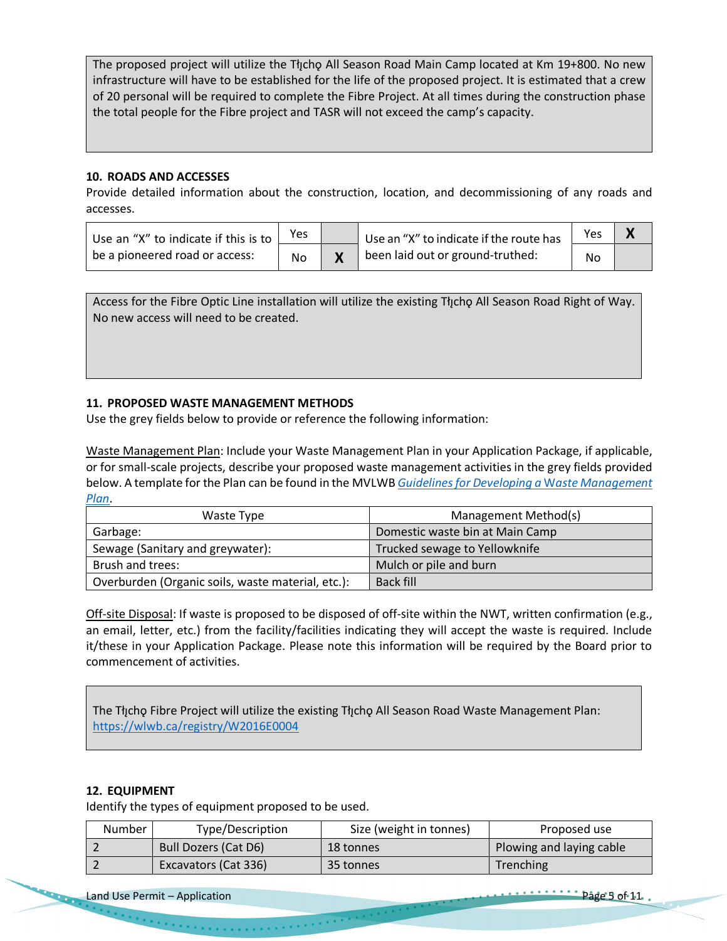The proposed project will utilize the Tłıcho All Season Road Main Camp located at Km 19+800. No new infrastructure will have to be established for the life of the proposed project. It is estimated that a crew of 20 personal will be required to complete the Fibre Project. At all times during the construction phase the total people for the Fibre project and TASR will not exceed the camp's capacity.

## **10. ROADS AND ACCESSES**

Provide detailed information about the construction, location, and decommissioning of any roads and accesses.

| Use an "X" to indicate if this is to $\frac{1}{2}$ | Yes | Use an "X" to indicate if the route has | Yes |  |
|----------------------------------------------------|-----|-----------------------------------------|-----|--|
| be a pioneered road or access:                     | No  | been laid out or ground-truthed:        | No  |  |

Access for the Fibre Optic Line installation will utilize the existing Thcho All Season Road Right of Way. No new access will need to be created.

## **11. PROPOSED WASTE MANAGEMENT METHODS**

Use the grey fields below to provide or reference the following information:

Waste Management Plan: Include your Waste Management Plan in your Application Package, if applicable, or for small-scale projects, describe your proposed waste management activities in the grey fields provided below. A template for the Plan can be found in the MVLWB *Guidelines for Developing a* W*aste Management Plan*.

| Waste Type                                        | Management Method(s)            |
|---------------------------------------------------|---------------------------------|
| Garbage:                                          | Domestic waste bin at Main Camp |
| Sewage (Sanitary and greywater):                  | Trucked sewage to Yellowknife   |
| Brush and trees:                                  | Mulch or pile and burn          |
| Overburden (Organic soils, waste material, etc.): | Back fill                       |

Off-site Disposal: If waste is proposed to be disposed of off-site within the NWT, written confirmation (e.g., an email, letter, etc.) from the facility/facilities indicating they will accept the waste is required. Include it/these in your Application Package. Please note this information will be required by the Board prior to commencement of activities.

The Tłįchǫ Fibre Project will utilize the existing Tłįchǫ All Season Road Waste Management Plan: https://wlwb.ca/registry/W2016E0004

## **12. EQUIPMENT**

Identify the types of equipment proposed to be used.

| <b>Number</b> | Type/Description            | Size (weight in tonnes) | Proposed use             |
|---------------|-----------------------------|-------------------------|--------------------------|
|               | <b>Bull Dozers (Cat D6)</b> | 18 tonnes               | Plowing and laying cable |
|               | <b>Excavators (Cat 336)</b> | 35 tonnes               | Trenching                |

Land Use Permit – Application Page 5 of 11.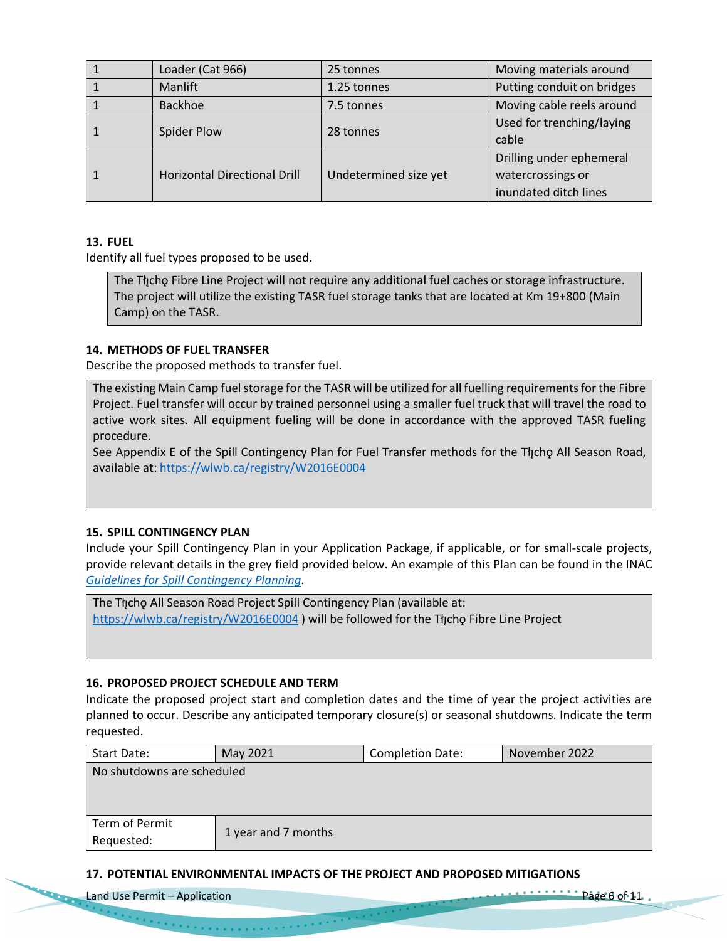|  | Loader (Cat 966)                    | 25 tonnes             | Moving materials around    |
|--|-------------------------------------|-----------------------|----------------------------|
|  | Manlift                             | 1.25 tonnes           | Putting conduit on bridges |
|  | <b>Backhoe</b>                      | 7.5 tonnes            | Moving cable reels around  |
|  | Spider Plow                         | 28 tonnes             | Used for trenching/laying  |
|  |                                     |                       | cable                      |
|  | <b>Horizontal Directional Drill</b> |                       | Drilling under ephemeral   |
|  |                                     | Undetermined size yet | watercrossings or          |
|  |                                     |                       | inundated ditch lines      |

## **13. FUEL**

Identify all fuel types proposed to be used.

The Tłįcho Fibre Line Project will not require any additional fuel caches or storage infrastructure. The project will utilize the existing TASR fuel storage tanks that are located at Km 19+800 (Main Camp) on the TASR.

#### **14. METHODS OF FUEL TRANSFER**

Describe the proposed methods to transfer fuel.

The existing Main Camp fuel storage for the TASR will be utilized for all fuelling requirements for the Fibre Project. Fuel transfer will occur by trained personnel using a smaller fuel truck that will travel the road to active work sites. All equipment fueling will be done in accordance with the approved TASR fueling procedure.

See Appendix E of the Spill Contingency Plan for Fuel Transfer methods for the Tłycho All Season Road, available at: https://wlwb.ca/registry/W2016E0004

#### **15. SPILL CONTINGENCY PLAN**

Include your Spill Contingency Plan in your Application Package, if applicable, or for small-scale projects, provide relevant details in the grey field provided below. An example of this Plan can be found in the INAC *Guidelines for Spill Contingency Planning*.

The The all Season Road Project Spill Contingency Plan (available at: https://wlwb.ca/registry/W2016E0004 ) will be followed for the Tłįchǫ Fibre Line Project

#### **16. PROPOSED PROJECT SCHEDULE AND TERM**

, which is a constraint of the contract of  $\mathcal{O}(n)$ 

Indicate the proposed project start and completion dates and the time of year the project activities are planned to occur. Describe any anticipated temporary closure(s) or seasonal shutdowns. Indicate the term requested.

| Start Date:                | May 2021            | <b>Completion Date:</b> | November 2022 |  |  |
|----------------------------|---------------------|-------------------------|---------------|--|--|
| No shutdowns are scheduled |                     |                         |               |  |  |
|                            |                     |                         |               |  |  |
|                            |                     |                         |               |  |  |
| Term of Permit             |                     |                         |               |  |  |
| Requested:                 | 1 year and 7 months |                         |               |  |  |

#### **17. POTENTIAL ENVIRONMENTAL IMPACTS OF THE PROJECT AND PROPOSED MITIGATIONS**

| Land Use Permit – Application | $\cdots$ $\cdots$ $\cdots$ $\cdots$ $\cdots$ $\cdots$ $\cdots$ $\cdots$ $\cdots$ $\cdots$ $\cdots$ $\cdots$ $\cdots$ $\cdots$ $\cdots$ $\cdots$ $\cdots$ $\cdots$ $\cdots$ $\cdots$ $\cdots$ $\cdots$ $\cdots$ $\cdots$ $\cdots$ $\cdots$ $\cdots$ $\cdots$ $\cdots$ $\cdots$ $\cdots$ $\cdots$ $\cdots$ $\cdots$ $\cdots$ $\cdots$ $\cdots$ |
|-------------------------------|----------------------------------------------------------------------------------------------------------------------------------------------------------------------------------------------------------------------------------------------------------------------------------------------------------------------------------------------|
|                               |                                                                                                                                                                                                                                                                                                                                              |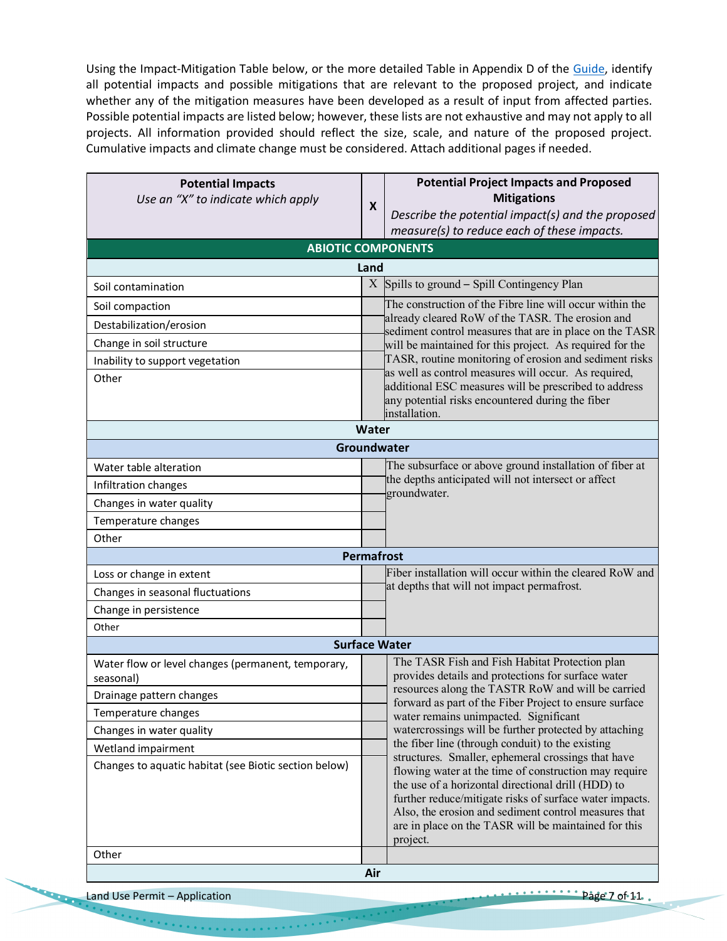Using the Impact-Mitigation Table below, or the more detailed Table in Appendix D of the Guide, identify all potential impacts and possible mitigations that are relevant to the proposed project, and indicate whether any of the mitigation measures have been developed as a result of input from affected parties. Possible potential impacts are listed below; however, these lists are not exhaustive and may not apply to all projects. All information provided should reflect the size, scale, and nature of the proposed project. Cumulative impacts and climate change must be considered. Attach additional pages if needed.

| <b>Potential Impacts</b><br>Use an "X" to indicate which apply  |                                                                                                        | <b>Potential Project Impacts and Proposed</b><br><b>Mitigations</b>                                                                                                                                                                                                                                |  |
|-----------------------------------------------------------------|--------------------------------------------------------------------------------------------------------|----------------------------------------------------------------------------------------------------------------------------------------------------------------------------------------------------------------------------------------------------------------------------------------------------|--|
|                                                                 | X                                                                                                      | Describe the potential impact(s) and the proposed                                                                                                                                                                                                                                                  |  |
|                                                                 |                                                                                                        | measure(s) to reduce each of these impacts.                                                                                                                                                                                                                                                        |  |
| <b>ABIOTIC COMPONENTS</b>                                       |                                                                                                        |                                                                                                                                                                                                                                                                                                    |  |
|                                                                 | Land                                                                                                   |                                                                                                                                                                                                                                                                                                    |  |
| Soil contamination                                              |                                                                                                        | $X$ Spills to ground – Spill Contingency Plan                                                                                                                                                                                                                                                      |  |
| Soil compaction                                                 |                                                                                                        | The construction of the Fibre line will occur within the                                                                                                                                                                                                                                           |  |
| Destabilization/erosion                                         |                                                                                                        | already cleared RoW of the TASR. The erosion and<br>sediment control measures that are in place on the TASR                                                                                                                                                                                        |  |
| Change in soil structure                                        |                                                                                                        | will be maintained for this project. As required for the                                                                                                                                                                                                                                           |  |
| Inability to support vegetation                                 |                                                                                                        | TASR, routine monitoring of erosion and sediment risks                                                                                                                                                                                                                                             |  |
| Other                                                           |                                                                                                        | as well as control measures will occur. As required,<br>additional ESC measures will be prescribed to address<br>any potential risks encountered during the fiber<br>installation.                                                                                                                 |  |
|                                                                 | Water                                                                                                  |                                                                                                                                                                                                                                                                                                    |  |
|                                                                 |                                                                                                        | Groundwater                                                                                                                                                                                                                                                                                        |  |
| Water table alteration                                          |                                                                                                        | The subsurface or above ground installation of fiber at                                                                                                                                                                                                                                            |  |
| Infiltration changes                                            |                                                                                                        | the depths anticipated will not intersect or affect<br>groundwater.                                                                                                                                                                                                                                |  |
| Changes in water quality                                        |                                                                                                        |                                                                                                                                                                                                                                                                                                    |  |
| Temperature changes                                             |                                                                                                        |                                                                                                                                                                                                                                                                                                    |  |
| Other                                                           |                                                                                                        |                                                                                                                                                                                                                                                                                                    |  |
|                                                                 | <b>Permafrost</b>                                                                                      |                                                                                                                                                                                                                                                                                                    |  |
| Loss or change in extent                                        |                                                                                                        | Fiber installation will occur within the cleared RoW and<br>at depths that will not impact permafrost.                                                                                                                                                                                             |  |
| Changes in seasonal fluctuations                                |                                                                                                        |                                                                                                                                                                                                                                                                                                    |  |
| Change in persistence                                           |                                                                                                        |                                                                                                                                                                                                                                                                                                    |  |
| Other                                                           |                                                                                                        |                                                                                                                                                                                                                                                                                                    |  |
|                                                                 |                                                                                                        | <b>Surface Water</b>                                                                                                                                                                                                                                                                               |  |
| Water flow or level changes (permanent, temporary,<br>seasonal) |                                                                                                        | The TASR Fish and Fish Habitat Protection plan<br>provides details and protections for surface water                                                                                                                                                                                               |  |
| Drainage pattern changes                                        |                                                                                                        | resources along the TASTR RoW and will be carried<br>forward as part of the Fiber Project to ensure surface                                                                                                                                                                                        |  |
| Temperature changes                                             |                                                                                                        | water remains unimpacted. Significant                                                                                                                                                                                                                                                              |  |
| Changes in water quality                                        |                                                                                                        | watercrossings will be further protected by attaching                                                                                                                                                                                                                                              |  |
| Wetland impairment                                              | the fiber line (through conduit) to the existing<br>structures. Smaller, ephemeral crossings that have |                                                                                                                                                                                                                                                                                                    |  |
| Changes to aquatic habitat (see Biotic section below)           |                                                                                                        | flowing water at the time of construction may require<br>the use of a horizontal directional drill (HDD) to<br>further reduce/mitigate risks of surface water impacts.<br>Also, the erosion and sediment control measures that<br>are in place on the TASR will be maintained for this<br>project. |  |
| Other                                                           |                                                                                                        |                                                                                                                                                                                                                                                                                                    |  |
|                                                                 | Air                                                                                                    |                                                                                                                                                                                                                                                                                                    |  |

Land Use Permit – Application Page 7 of 11.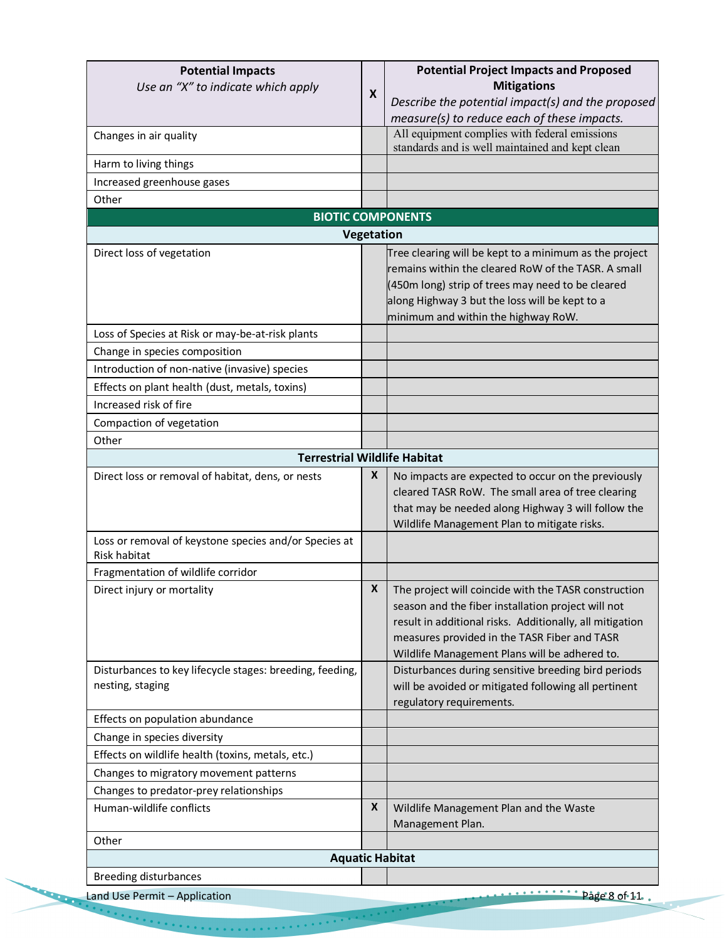| <b>Potential Impacts</b>                                                     |            | <b>Potential Project Impacts and Proposed</b>                                                                                                                                                                                                                           |
|------------------------------------------------------------------------------|------------|-------------------------------------------------------------------------------------------------------------------------------------------------------------------------------------------------------------------------------------------------------------------------|
| Use an "X" to indicate which apply                                           | X          | <b>Mitigations</b>                                                                                                                                                                                                                                                      |
|                                                                              |            | Describe the potential impact(s) and the proposed                                                                                                                                                                                                                       |
|                                                                              |            | measure(s) to reduce each of these impacts.                                                                                                                                                                                                                             |
| Changes in air quality                                                       |            | All equipment complies with federal emissions<br>standards and is well maintained and kept clean                                                                                                                                                                        |
| Harm to living things                                                        |            |                                                                                                                                                                                                                                                                         |
| Increased greenhouse gases                                                   |            |                                                                                                                                                                                                                                                                         |
| Other                                                                        |            |                                                                                                                                                                                                                                                                         |
|                                                                              |            | <b>BIOTIC COMPONENTS</b>                                                                                                                                                                                                                                                |
|                                                                              | Vegetation |                                                                                                                                                                                                                                                                         |
| Direct loss of vegetation                                                    |            | Tree clearing will be kept to a minimum as the project<br>remains within the cleared RoW of the TASR. A small<br>(450m long) strip of trees may need to be cleared<br>along Highway 3 but the loss will be kept to a<br>minimum and within the highway RoW.             |
| Loss of Species at Risk or may-be-at-risk plants                             |            |                                                                                                                                                                                                                                                                         |
| Change in species composition                                                |            |                                                                                                                                                                                                                                                                         |
| Introduction of non-native (invasive) species                                |            |                                                                                                                                                                                                                                                                         |
| Effects on plant health (dust, metals, toxins)                               |            |                                                                                                                                                                                                                                                                         |
| Increased risk of fire                                                       |            |                                                                                                                                                                                                                                                                         |
| Compaction of vegetation                                                     |            |                                                                                                                                                                                                                                                                         |
| Other                                                                        |            |                                                                                                                                                                                                                                                                         |
| <b>Terrestrial Wildlife Habitat</b>                                          |            |                                                                                                                                                                                                                                                                         |
| Direct loss or removal of habitat, dens, or nests                            | X          | No impacts are expected to occur on the previously<br>cleared TASR RoW. The small area of tree clearing<br>that may be needed along Highway 3 will follow the<br>Wildlife Management Plan to mitigate risks.                                                            |
| Loss or removal of keystone species and/or Species at<br><b>Risk habitat</b> |            |                                                                                                                                                                                                                                                                         |
| Fragmentation of wildlife corridor                                           |            |                                                                                                                                                                                                                                                                         |
| Direct injury or mortality                                                   | X          | The project will coincide with the TASR construction<br>season and the fiber installation project will not<br>result in additional risks. Additionally, all mitigation<br>measures provided in the TASR Fiber and TASR<br>Wildlife Management Plans will be adhered to. |
| Disturbances to key lifecycle stages: breeding, feeding,<br>nesting, staging |            | Disturbances during sensitive breeding bird periods<br>will be avoided or mitigated following all pertinent<br>regulatory requirements.                                                                                                                                 |
| Effects on population abundance                                              |            |                                                                                                                                                                                                                                                                         |
| Change in species diversity                                                  |            |                                                                                                                                                                                                                                                                         |
| Effects on wildlife health (toxins, metals, etc.)                            |            |                                                                                                                                                                                                                                                                         |
| Changes to migratory movement patterns                                       |            |                                                                                                                                                                                                                                                                         |
| Changes to predator-prey relationships                                       |            |                                                                                                                                                                                                                                                                         |
| Human-wildlife conflicts                                                     | X          | Wildlife Management Plan and the Waste<br>Management Plan.                                                                                                                                                                                                              |
| Other                                                                        |            |                                                                                                                                                                                                                                                                         |
|                                                                              |            | <b>Aquatic Habitat</b>                                                                                                                                                                                                                                                  |
| <b>Breeding disturbances</b>                                                 |            |                                                                                                                                                                                                                                                                         |
| Land Use Permit - Application                                                |            | $\ldots$ $\ldots$ $\ldots$ $\ldots$ $\ldots$ $\ldots$ $\ldots$ $\ldots$ $\ldots$ $\ldots$ $\ldots$ $\ldots$ $\ldots$                                                                                                                                                    |

**CALCULAR COMPANY** 

 $\mathcal{O}(n\log n)$  , and a sequence of  $\mathcal{O}(n\log n)$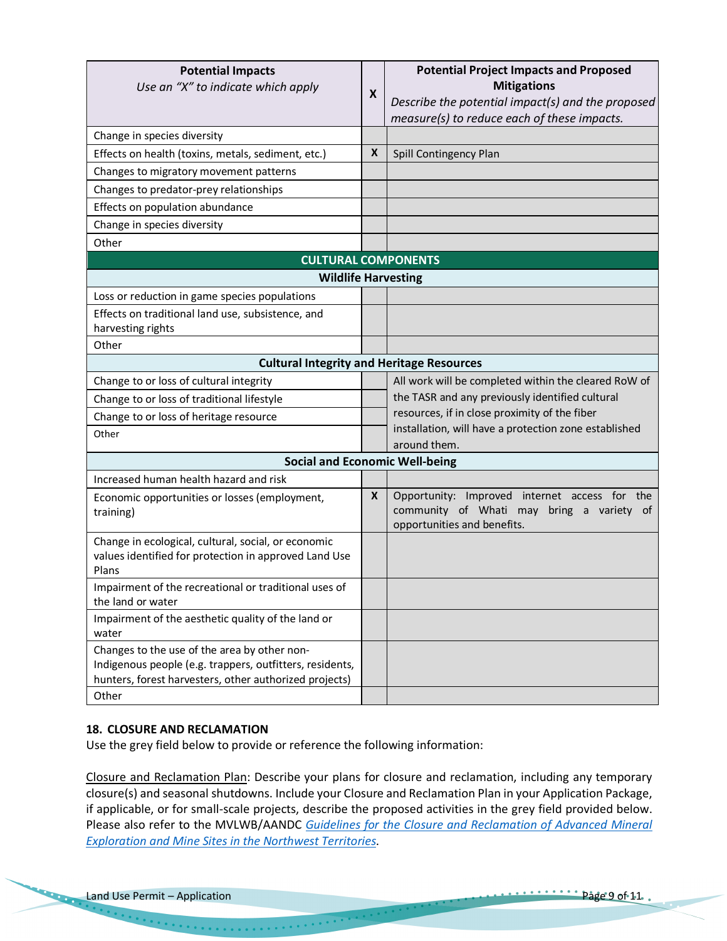| <b>Potential Impacts</b><br>Use an "X" to indicate which apply                                                                                                              | X | <b>Potential Project Impacts and Proposed</b><br><b>Mitigations</b><br>Describe the potential impact(s) and the proposed<br>measure(s) to reduce each of these impacts. |  |
|-----------------------------------------------------------------------------------------------------------------------------------------------------------------------------|---|-------------------------------------------------------------------------------------------------------------------------------------------------------------------------|--|
| Change in species diversity                                                                                                                                                 |   |                                                                                                                                                                         |  |
| Effects on health (toxins, metals, sediment, etc.)                                                                                                                          | X | Spill Contingency Plan                                                                                                                                                  |  |
| Changes to migratory movement patterns                                                                                                                                      |   |                                                                                                                                                                         |  |
| Changes to predator-prey relationships                                                                                                                                      |   |                                                                                                                                                                         |  |
| Effects on population abundance                                                                                                                                             |   |                                                                                                                                                                         |  |
| Change in species diversity                                                                                                                                                 |   |                                                                                                                                                                         |  |
| Other                                                                                                                                                                       |   |                                                                                                                                                                         |  |
| <b>CULTURAL COMPONENTS</b>                                                                                                                                                  |   |                                                                                                                                                                         |  |
| <b>Wildlife Harvesting</b>                                                                                                                                                  |   |                                                                                                                                                                         |  |
| Loss or reduction in game species populations                                                                                                                               |   |                                                                                                                                                                         |  |
| Effects on traditional land use, subsistence, and<br>harvesting rights                                                                                                      |   |                                                                                                                                                                         |  |
| Other                                                                                                                                                                       |   |                                                                                                                                                                         |  |
| <b>Cultural Integrity and Heritage Resources</b>                                                                                                                            |   |                                                                                                                                                                         |  |
| Change to or loss of cultural integrity                                                                                                                                     |   | All work will be completed within the cleared RoW of                                                                                                                    |  |
| Change to or loss of traditional lifestyle                                                                                                                                  |   | the TASR and any previously identified cultural                                                                                                                         |  |
| Change to or loss of heritage resource                                                                                                                                      |   | resources, if in close proximity of the fiber                                                                                                                           |  |
| Other                                                                                                                                                                       |   | installation, will have a protection zone established<br>around them.                                                                                                   |  |
| <b>Social and Economic Well-being</b>                                                                                                                                       |   |                                                                                                                                                                         |  |
| Increased human health hazard and risk                                                                                                                                      |   |                                                                                                                                                                         |  |
| Economic opportunities or losses (employment,<br>training)                                                                                                                  | X | Opportunity: Improved internet access for the<br>community of Whati may bring a variety of<br>opportunities and benefits.                                               |  |
| Change in ecological, cultural, social, or economic<br>values identified for protection in approved Land Use<br>Plans                                                       |   |                                                                                                                                                                         |  |
| Impairment of the recreational or traditional uses of<br>the land or water                                                                                                  |   |                                                                                                                                                                         |  |
| Impairment of the aesthetic quality of the land or<br>water                                                                                                                 |   |                                                                                                                                                                         |  |
| Changes to the use of the area by other non-<br>Indigenous people (e.g. trappers, outfitters, residents,<br>hunters, forest harvesters, other authorized projects)<br>Other |   |                                                                                                                                                                         |  |
|                                                                                                                                                                             |   |                                                                                                                                                                         |  |

## **18. CLOSURE AND RECLAMATION**

Use the grey field below to provide or reference the following information:

Closure and Reclamation Plan: Describe your plans for closure and reclamation, including any temporary closure(s) and seasonal shutdowns. Include your Closure and Reclamation Plan in your Application Package, if applicable, or for small-scale projects, describe the proposed activities in the grey field provided below. Please also refer to the MVLWB/AANDC *Guidelines for the Closure and Reclamation of Advanced Mineral Exploration and Mine Sites in the Northwest Territories*.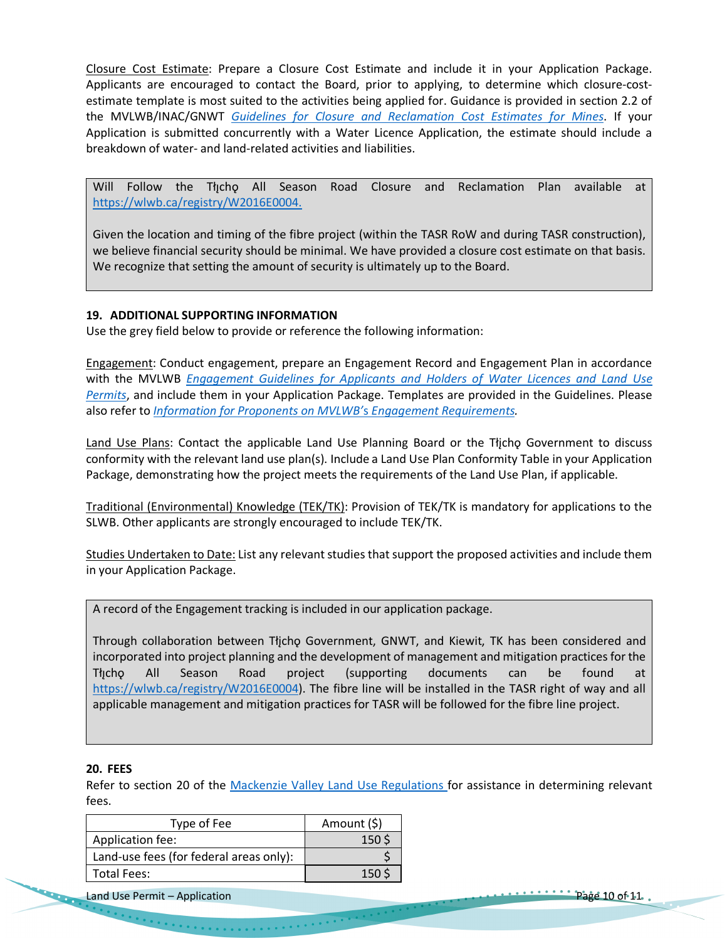Closure Cost Estimate: Prepare a Closure Cost Estimate and include it in your Application Package. Applicants are encouraged to contact the Board, prior to applying, to determine which closure-costestimate template is most suited to the activities being applied for. Guidance is provided in section 2.2 of the MVLWB/INAC/GNWT *Guidelines for Closure and Reclamation Cost Estimates for Mines*. If your Application is submitted concurrently with a Water Licence Application, the estimate should include a breakdown of water- and land-related activities and liabilities.

Will Follow the Tłı̨chǫ All Season Road Closure and Reclamation Plan available at https://wlwb.ca/registry/W2016E0004.

Given the location and timing of the fibre project (within the TASR RoW and during TASR construction), we believe financial security should be minimal. We have provided a closure cost estimate on that basis. We recognize that setting the amount of security is ultimately up to the Board.

#### **19. ADDITIONAL SUPPORTING INFORMATION**

Use the grey field below to provide or reference the following information:

Engagement: Conduct engagement, prepare an Engagement Record and Engagement Plan in accordance with the MVLWB *Engagement Guidelines for Applicants and Holders of Water Licences and Land Use Permits*, and include them in your Application Package. Templates are provided in the Guidelines. Please also refer to *Information for Proponents on MVLWB'*s *Engagement Requirements.*

Land Use Plans: Contact the applicable Land Use Planning Board or the Tłicho Government to discuss conformity with the relevant land use plan(s). Include a Land Use Plan Conformity Table in your Application Package, demonstrating how the project meets the requirements of the Land Use Plan, if applicable.

Traditional (Environmental) Knowledge (TEK/TK): Provision of TEK/TK is mandatory for applications to the SLWB. Other applicants are strongly encouraged to include TEK/TK.

Studies Undertaken to Date: List any relevant studies that support the proposed activities and include them in your Application Package.

A record of the Engagement tracking is included in our application package.

Through collaboration between Tłįchǫ Government, GNWT, and Kiewit, TK has been considered and incorporated into project planning and the development of management and mitigation practices for the Tłı̨chǫ All Season Road project (supporting documents can be found at https://wlwb.ca/registry/W2016E0004). The fibre line will be installed in the TASR right of way and all applicable management and mitigation practices for TASR will be followed for the fibre line project.

#### **20. FEES**

Refer to section 20 of the Mackenzie Valley Land Use Regulations for assistance in determining relevant fees.

| Type of Fee                             | Amount (\$)      |
|-----------------------------------------|------------------|
| Application fee:                        | 150 <sup>5</sup> |
| Land-use fees (for federal areas only): |                  |
| <b>Total Fees:</b>                      | 15 $\cap$        |

Land Use Permit – Application Page 10 of 11.